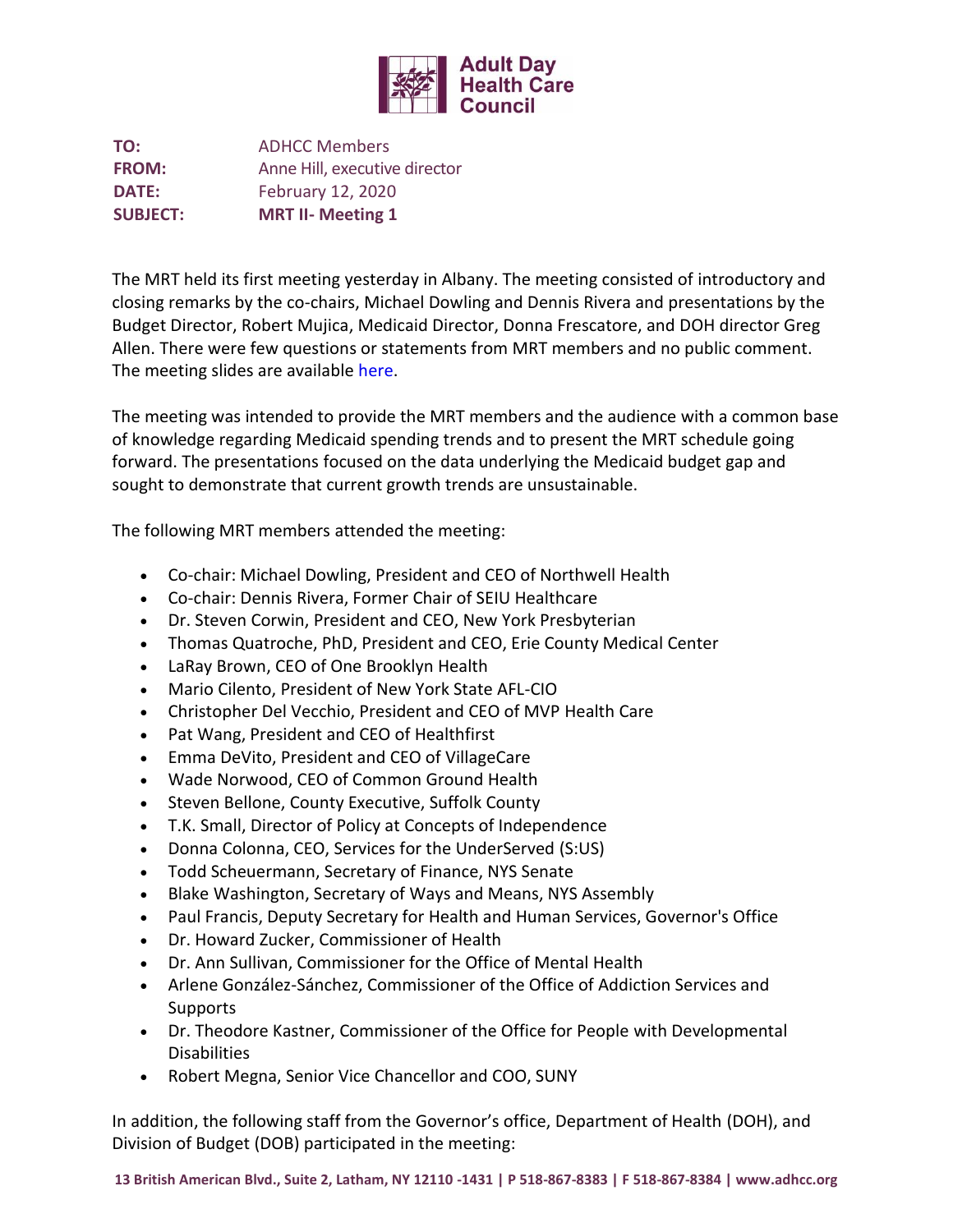

**TO:** ADHCC Members **FROM:** Anne Hill, executive director **DATE:** February 12, 2020 **SUBJECT: MRT II- Meeting 1**

The MRT held its first meeting yesterday in Albany. The meeting consisted of introductory and closing remarks by the co-chairs, Michael Dowling and Dennis Rivera and presentations by the Budget Director, Robert Mujica, Medicaid Director, Donna Frescatore, and DOH director Greg Allen. There were few questions or statements from MRT members and no public comment. The meeting slides are available [here.](https://health.ny.gov/health_care/medicaid/redesign/mrt2/docs/2020-02-11_presentation.pdf)

The meeting was intended to provide the MRT members and the audience with a common base of knowledge regarding Medicaid spending trends and to present the MRT schedule going forward. The presentations focused on the data underlying the Medicaid budget gap and sought to demonstrate that current growth trends are unsustainable.

The following MRT members attended the meeting:

- Co-chair: Michael Dowling, President and CEO of Northwell Health
- Co-chair: Dennis Rivera, Former Chair of SEIU Healthcare
- Dr. Steven Corwin, President and CEO, New York Presbyterian
- Thomas Quatroche, PhD, President and CEO, Erie County Medical Center
- LaRay Brown, CEO of One Brooklyn Health
- Mario Cilento, President of New York State AFL-CIO
- Christopher Del Vecchio, President and CEO of MVP Health Care
- Pat Wang, President and CEO of Healthfirst
- Emma DeVito, President and CEO of VillageCare
- Wade Norwood, CEO of Common Ground Health
- Steven Bellone, County Executive, Suffolk County
- T.K. Small, Director of Policy at Concepts of Independence
- Donna Colonna, CEO, Services for the UnderServed (S:US)
- Todd Scheuermann, Secretary of Finance, NYS Senate
- Blake Washington, Secretary of Ways and Means, NYS Assembly
- Paul Francis, Deputy Secretary for Health and Human Services, Governor's Office
- Dr. Howard Zucker, Commissioner of Health
- Dr. Ann Sullivan, Commissioner for the Office of Mental Health
- Arlene González-Sánchez, Commissioner of the Office of Addiction Services and Supports
- Dr. Theodore Kastner, Commissioner of the Office for People with Developmental **Disabilities**
- Robert Megna, Senior Vice Chancellor and COO, SUNY

In addition, the following staff from the Governor's office, Department of Health (DOH), and Division of Budget (DOB) participated in the meeting: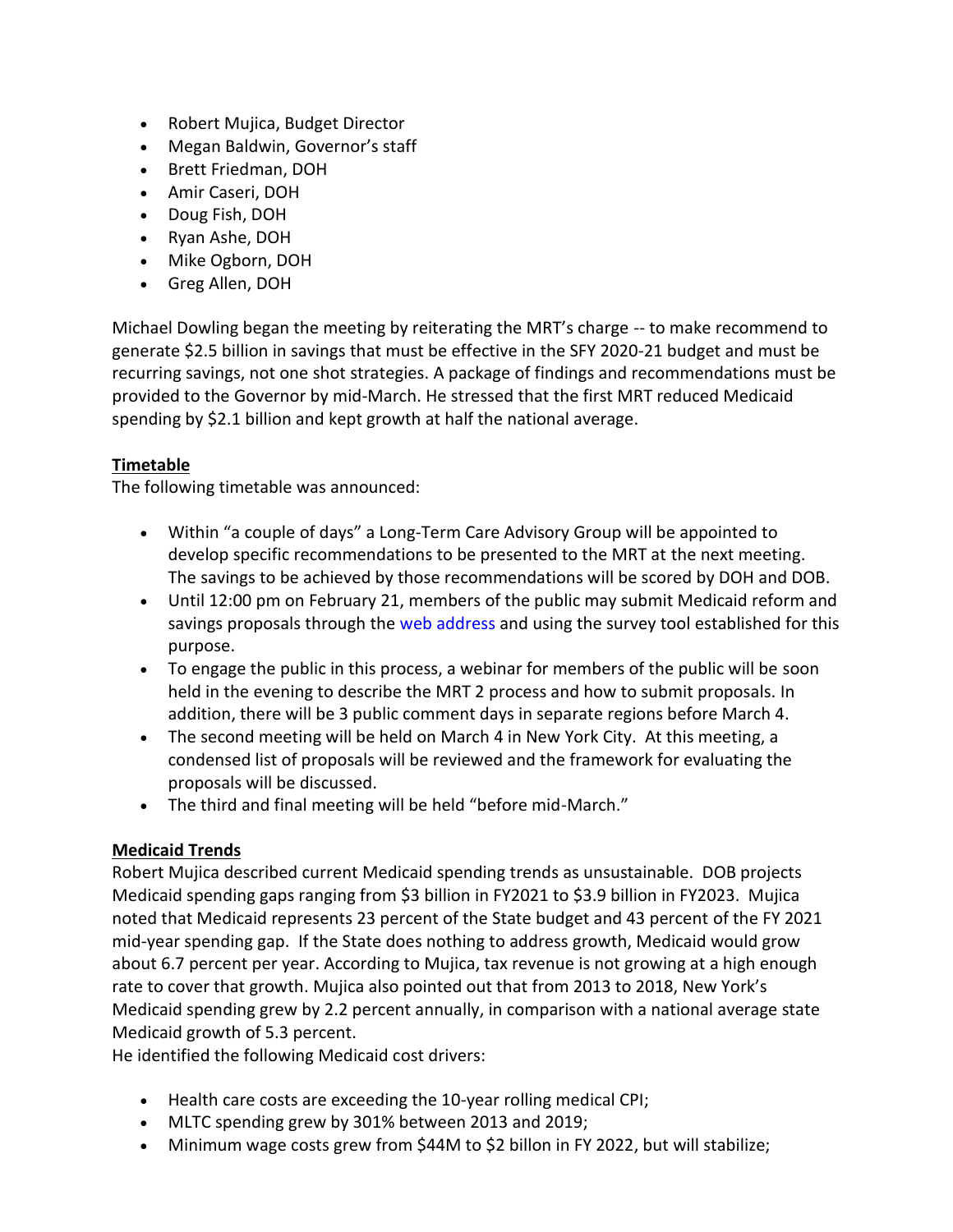- Robert Mujica, Budget Director
- Megan Baldwin, Governor's staff
- Brett Friedman, DOH
- Amir Caseri, DOH
- Doug Fish, DOH
- Ryan Ashe, DOH
- Mike Ogborn, DOH
- Greg Allen, DOH

Michael Dowling began the meeting by reiterating the MRT's charge -- to make recommend to generate \$2.5 billion in savings that must be effective in the SFY 2020-21 budget and must be recurring savings, not one shot strategies. A package of findings and recommendations must be provided to the Governor by mid-March. He stressed that the first MRT reduced Medicaid spending by \$2.1 billion and kept growth at half the national average.

# **Timetable**

The following timetable was announced:

- Within "a couple of days" a Long-Term Care Advisory Group will be appointed to develop specific recommendations to be presented to the MRT at the next meeting. The savings to be achieved by those recommendations will be scored by DOH and DOB.
- Until 12:00 pm on February 21, members of the public may submit Medicaid reform and savings proposals through the [web address](https://www.surveymonkey.com/r/Medicaid_Redesign_II_Pulic_Proposal_Survey) and using the survey tool established for this purpose.
- To engage the public in this process, a webinar for members of the public will be soon held in the evening to describe the MRT 2 process and how to submit proposals. In addition, there will be 3 public comment days in separate regions before March 4.
- The second meeting will be held on March 4 in New York City. At this meeting, a condensed list of proposals will be reviewed and the framework for evaluating the proposals will be discussed.
- The third and final meeting will be held "before mid-March."

# **Medicaid Trends**

Robert Mujica described current Medicaid spending trends as unsustainable. DOB projects Medicaid spending gaps ranging from \$3 billion in FY2021 to \$3.9 billion in FY2023. Mujica noted that Medicaid represents 23 percent of the State budget and 43 percent of the FY 2021 mid-year spending gap. If the State does nothing to address growth, Medicaid would grow about 6.7 percent per year. According to Mujica, tax revenue is not growing at a high enough rate to cover that growth. Mujica also pointed out that from 2013 to 2018, New York's Medicaid spending grew by 2.2 percent annually, in comparison with a national average state Medicaid growth of 5.3 percent.

He identified the following Medicaid cost drivers:

- Health care costs are exceeding the 10-year rolling medical CPI;
- MLTC spending grew by 301% between 2013 and 2019;
- Minimum wage costs grew from \$44M to \$2 billon in FY 2022, but will stabilize;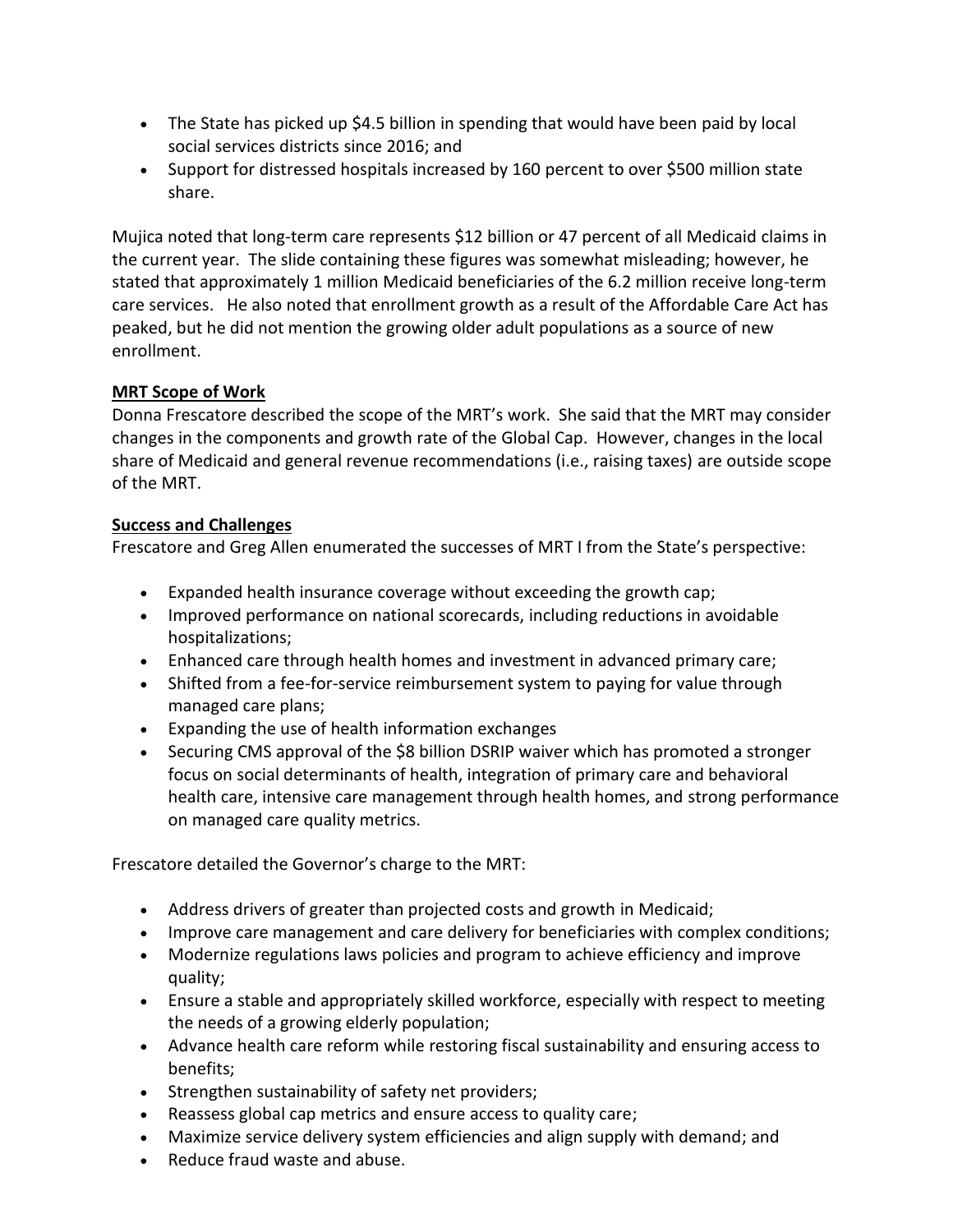- The State has picked up \$4.5 billion in spending that would have been paid by local social services districts since 2016; and
- Support for distressed hospitals increased by 160 percent to over \$500 million state share.

Mujica noted that long-term care represents \$12 billion or 47 percent of all Medicaid claims in the current year. The slide containing these figures was somewhat misleading; however, he stated that approximately 1 million Medicaid beneficiaries of the 6.2 million receive long-term care services. He also noted that enrollment growth as a result of the Affordable Care Act has peaked, but he did not mention the growing older adult populations as a source of new enrollment.

# **MRT Scope of Work**

Donna Frescatore described the scope of the MRT's work. She said that the MRT may consider changes in the components and growth rate of the Global Cap. However, changes in the local share of Medicaid and general revenue recommendations (i.e., raising taxes) are outside scope of the MRT.

# **Success and Challenges**

Frescatore and Greg Allen enumerated the successes of MRT I from the State's perspective:

- Expanded health insurance coverage without exceeding the growth cap;
- Improved performance on national scorecards, including reductions in avoidable hospitalizations;
- Enhanced care through health homes and investment in advanced primary care;
- Shifted from a fee-for-service reimbursement system to paying for value through managed care plans;
- Expanding the use of health information exchanges
- Securing CMS approval of the \$8 billion DSRIP waiver which has promoted a stronger focus on social determinants of health, integration of primary care and behavioral health care, intensive care management through health homes, and strong performance on managed care quality metrics.

Frescatore detailed the Governor's charge to the MRT:

- Address drivers of greater than projected costs and growth in Medicaid;
- Improve care management and care delivery for beneficiaries with complex conditions;
- Modernize regulations laws policies and program to achieve efficiency and improve quality;
- Ensure a stable and appropriately skilled workforce, especially with respect to meeting the needs of a growing elderly population;
- Advance health care reform while restoring fiscal sustainability and ensuring access to benefits;
- Strengthen sustainability of safety net providers;
- Reassess global cap metrics and ensure access to quality care;
- Maximize service delivery system efficiencies and align supply with demand; and
- Reduce fraud waste and abuse.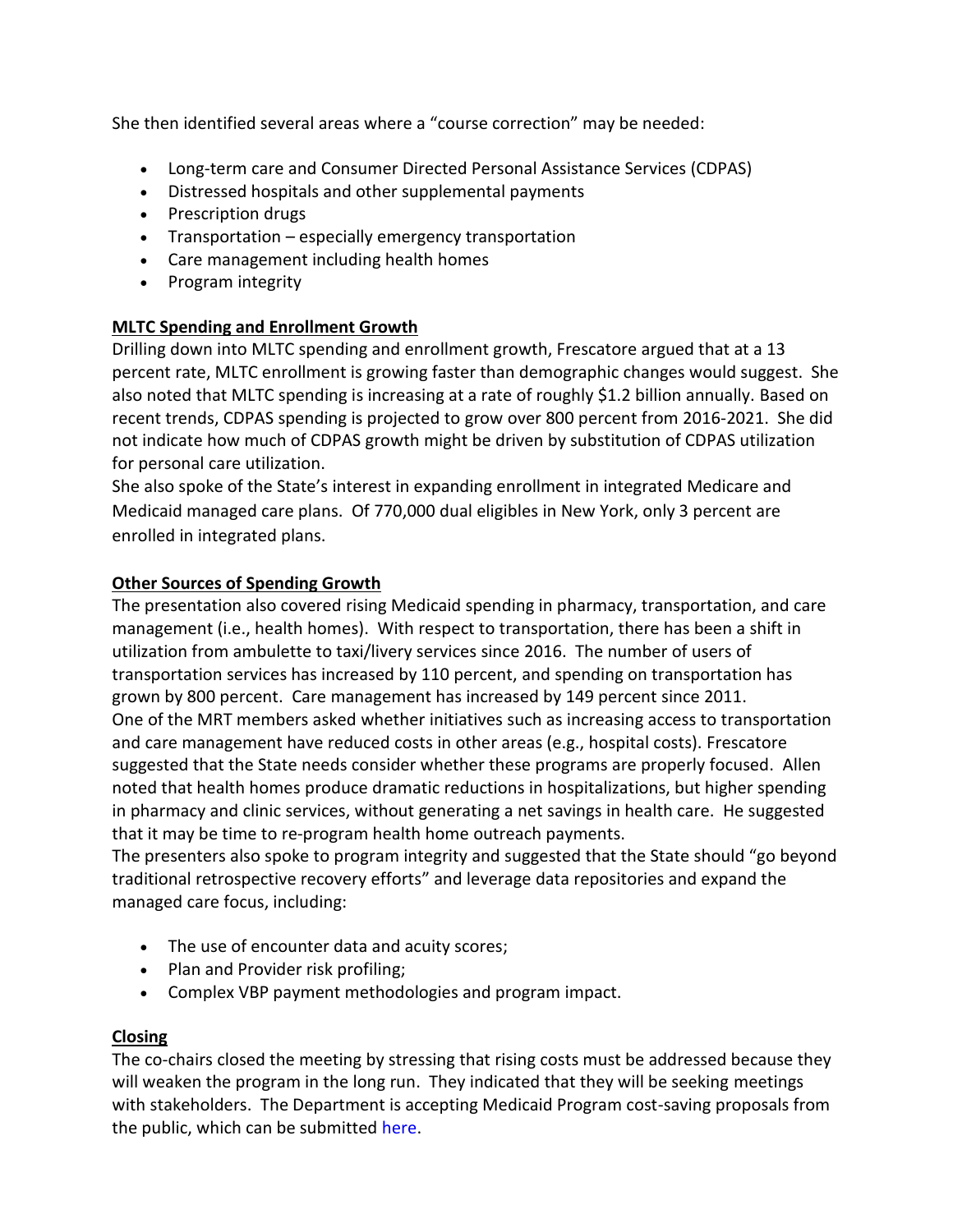She then identified several areas where a "course correction" may be needed:

- Long-term care and Consumer Directed Personal Assistance Services (CDPAS)
- Distressed hospitals and other supplemental payments
- Prescription drugs
- Transportation especially emergency transportation
- Care management including health homes
- Program integrity

# **MLTC Spending and Enrollment Growth**

Drilling down into MLTC spending and enrollment growth, Frescatore argued that at a 13 percent rate, MLTC enrollment is growing faster than demographic changes would suggest. She also noted that MLTC spending is increasing at a rate of roughly \$1.2 billion annually. Based on recent trends, CDPAS spending is projected to grow over 800 percent from 2016-2021. She did not indicate how much of CDPAS growth might be driven by substitution of CDPAS utilization for personal care utilization.

She also spoke of the State's interest in expanding enrollment in integrated Medicare and Medicaid managed care plans. Of 770,000 dual eligibles in New York, only 3 percent are enrolled in integrated plans.

# **Other Sources of Spending Growth**

The presentation also covered rising Medicaid spending in pharmacy, transportation, and care management (i.e., health homes). With respect to transportation, there has been a shift in utilization from ambulette to taxi/livery services since 2016. The number of users of transportation services has increased by 110 percent, and spending on transportation has grown by 800 percent. Care management has increased by 149 percent since 2011. One of the MRT members asked whether initiatives such as increasing access to transportation and care management have reduced costs in other areas (e.g., hospital costs). Frescatore suggested that the State needs consider whether these programs are properly focused. Allen noted that health homes produce dramatic reductions in hospitalizations, but higher spending in pharmacy and clinic services, without generating a net savings in health care. He suggested that it may be time to re-program health home outreach payments.

The presenters also spoke to program integrity and suggested that the State should "go beyond traditional retrospective recovery efforts" and leverage data repositories and expand the managed care focus, including:

- The use of encounter data and acuity scores;
- Plan and Provider risk profiling;
- Complex VBP payment methodologies and program impact.

# **Closing**

The co-chairs closed the meeting by stressing that rising costs must be addressed because they will weaken the program in the long run. They indicated that they will be seeking meetings with stakeholders. The Department is accepting Medicaid Program cost-saving proposals from the public, which can be submitted [here.](https://www.surveymonkey.com/r/Medicaid_Redesign_II_Pulic_Proposal_Survey)